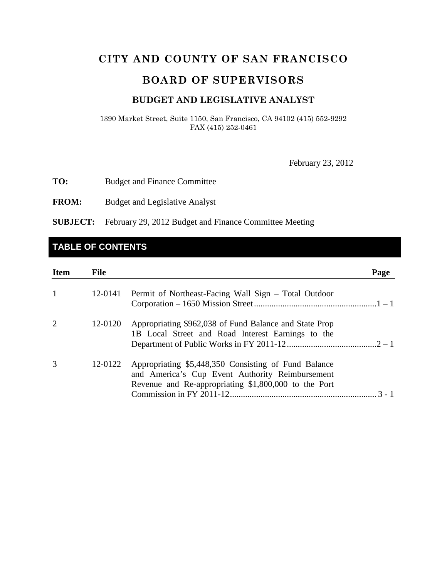# **CITY AND COUNTY OF SAN FRANCISCO**

# **BOARD OF SUPERVISORS**

#### **BUDGET AND LEGISLATIVE ANALYST**

1390 Market Street, Suite 1150, San Francisco, CA 94102 (415) 552-9292 FAX (415) 252-0461

February 23, 2012

**TO:** Budget and Finance Committee

**FROM:** Budget and Legislative Analyst

**SUBJECT:** February 29, 2012 Budget and Finance Committee Meeting

# **TABLE OF CONTENTS**

| <b>Item</b> | <b>File</b> |                                                                                                                                                                 | Page    |
|-------------|-------------|-----------------------------------------------------------------------------------------------------------------------------------------------------------------|---------|
| 1           | 12-0141     | Permit of Northeast-Facing Wall Sign – Total Outdoor                                                                                                            |         |
| 2           | 12-0120     | Appropriating \$962,038 of Fund Balance and State Prop<br>1B Local Street and Road Interest Earnings to the                                                     |         |
| 3           | 12-0122     | Appropriating \$5,448,350 Consisting of Fund Balance<br>and America's Cup Event Authority Reimbursement<br>Revenue and Re-appropriating \$1,800,000 to the Port | $3 - 1$ |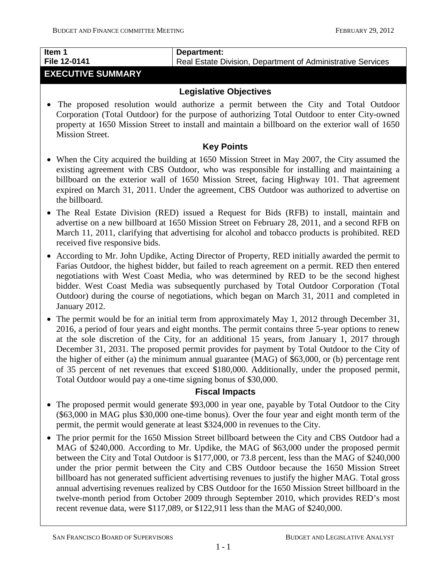# **Item 1 File 12-0141**

# **Department:**

Real Estate Division, Department of Administrative Services

# **EXECUTIVE SUMMARY**

## **Legislative Objectives**

• The proposed resolution would authorize a permit between the City and Total Outdoor Corporation (Total Outdoor) for the purpose of authorizing Total Outdoor to enter City-owned property at 1650 Mission Street to install and maintain a billboard on the exterior wall of 1650 Mission Street.

### **Key Points**

- When the City acquired the building at 1650 Mission Street in May 2007, the City assumed the existing agreement with CBS Outdoor, who was responsible for installing and maintaining a billboard on the exterior wall of 1650 Mission Street, facing Highway 101. That agreement expired on March 31, 2011. Under the agreement, CBS Outdoor was authorized to advertise on the billboard.
- The Real Estate Division (RED) issued a Request for Bids (RFB) to install, maintain and advertise on a new billboard at 1650 Mission Street on February 28, 2011, and a second RFB on March 11, 2011, clarifying that advertising for alcohol and tobacco products is prohibited. RED received five responsive bids.
- According to Mr. John Updike, Acting Director of Property, RED initially awarded the permit to Farias Outdoor, the highest bidder, but failed to reach agreement on a permit. RED then entered negotiations with West Coast Media, who was determined by RED to be the second highest bidder. West Coast Media was subsequently purchased by Total Outdoor Corporation (Total Outdoor) during the course of negotiations, which began on March 31, 2011 and completed in January 2012.
- The permit would be for an initial term from approximately May 1, 2012 through December 31, 2016, a period of four years and eight months. The permit contains three 5-year options to renew at the sole discretion of the City, for an additional 15 years, from January 1, 2017 through December 31, 2031. The proposed permit provides for payment by Total Outdoor to the City of the higher of either (a) the minimum annual guarantee (MAG) of \$63,000, or (b) percentage rent of 35 percent of net revenues that exceed \$180,000. Additionally, under the proposed permit, Total Outdoor would pay a one-time signing bonus of \$30,000.

#### **Fiscal Impacts**

- The proposed permit would generate \$93,000 in year one, payable by Total Outdoor to the City (\$63,000 in MAG plus \$30,000 one-time bonus). Over the four year and eight month term of the permit, the permit would generate at least \$324,000 in revenues to the City.
- <span id="page-1-0"></span>• The prior permit for the 1650 Mission Street billboard between the City and CBS Outdoor had a MAG of \$240,000. According to Mr. Updike, the MAG of \$63,000 under the proposed permit between the City and Total Outdoor is \$177,000, or 73.8 percent, less than the MAG of \$240,000 under the prior permit between the City and CBS Outdoor because the 1650 Mission Street billboard has not generated sufficient advertising revenues to justify the higher MAG. Total gross annual advertising revenues realized by CBS Outdoor for the 1650 Mission Street billboard in the twelve-month period from October 2009 through September 2010, which provides RED's most recent revenue data, were \$117,089, or \$122,911 less than the MAG of \$240,000.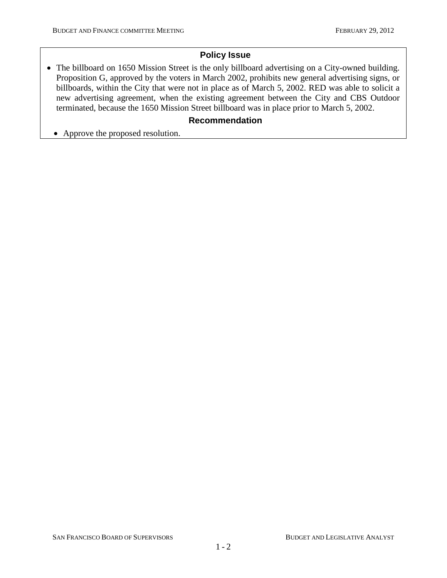## **Policy Issue**

• The billboard on 1650 Mission Street is the only billboard advertising on a City-owned building. Proposition G, approved by the voters in March 2002, prohibits new general advertising signs, or billboards, within the City that were not in place as of March 5, 2002. RED was able to solicit a new advertising agreement, when the existing agreement between the City and CBS Outdoor terminated, because the 1650 Mission Street billboard was in place prior to March 5, 2002.

## **Recommendation**

• Approve the proposed resolution.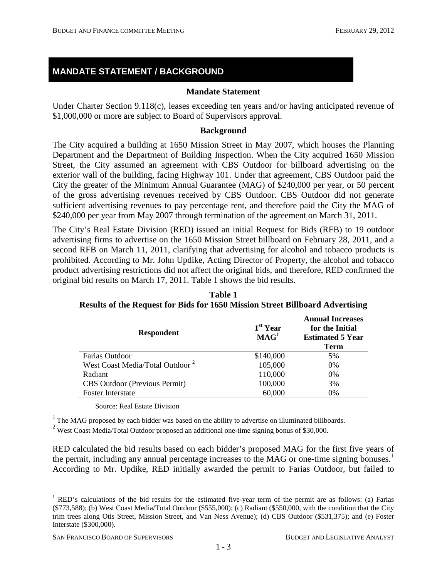# **MANDATE STATEMENT / BACKGROUND**

#### **Mandate Statement**

Under Charter Section 9.118(c), leases exceeding ten years and/or having anticipated revenue of \$1,000,000 or more are subject to Board of Supervisors approval.

#### **Background**

The City acquired a building at 1650 Mission Street in May 2007, which houses the Planning Department and the Department of Building Inspection. When the City acquired 1650 Mission Street, the City assumed an agreement with CBS Outdoor for billboard advertising on the exterior wall of the building, facing Highway 101. Under that agreement, CBS Outdoor paid the City the greater of the Minimum Annual Guarantee (MAG) of \$240,000 per year, or 50 percent of the gross advertising revenues received by CBS Outdoor. CBS Outdoor did not generate sufficient advertising revenues to pay percentage rent, and therefore paid the City the MAG of \$240,000 per year from May 2007 through termination of the agreement on March 31, 2011.

The City's Real Estate Division (RED) issued an initial Request for Bids (RFB) to 19 outdoor advertising firms to advertise on the 1650 Mission Street billboard on February 28, 2011, and a second RFB on March 11, 2011, clarifying that advertising for alcohol and tobacco products is prohibited. According to Mr. John Updike, Acting Director of Property, the alcohol and tobacco product advertising restrictions did not affect the original bids, and therefore, RED confirmed the original bid results on March 17, 2011. Table 1 shows the bid results.

| <b>Respondent</b>                           | 1 <sup>st</sup> Year<br>$\textbf{MAG}^1$ | <b>Annual Increases</b><br>for the Initial<br><b>Estimated 5 Year</b><br><b>Term</b> |
|---------------------------------------------|------------------------------------------|--------------------------------------------------------------------------------------|
| Farias Outdoor                              | \$140,000                                | 5%                                                                                   |
| West Coast Media/Total Outdoor <sup>2</sup> | 105,000                                  | 0%                                                                                   |
| Radiant                                     | 110,000                                  | 0%                                                                                   |
| <b>CBS</b> Outdoor (Previous Permit)        | 100,000                                  | 3%                                                                                   |
| <b>Foster Interstate</b>                    | 60,000                                   | 0%                                                                                   |

**Table 1 Results of the Request for Bids for 1650 Mission Street Billboard Advertising**

Source: Real Estate Division

<sup>1</sup> The MAG proposed by each bidder was based on the ability to advertise on illuminated billboards.

<sup>2</sup> West Coast Media/Total Outdoor proposed an additional one-time signing bonus of \$30,000.

RED calculated the bid results based on each bidder's proposed MAG for the first five years of the permit, including any annual percentage increases to the MAG or one-time signing bonuses.<sup>[1](#page-1-0)</sup> According to Mr. Updike, RED initially awarded the permit to Farias Outdoor, but failed to

<span id="page-3-0"></span><sup>&</sup>lt;sup>1</sup> RED's calculations of the bid results for the estimated five-year term of the permit are as follows: (a) Farias (\$773,588); (b) West Coast Media/Total Outdoor (\$555,000); (c) Radiant (\$550,000, with the condition that the City trim trees along Otis Street, Mission Street, and Van Ness Avenue); (d) CBS Outdoor (\$531,375); and (e) Foster Interstate (\$300,000).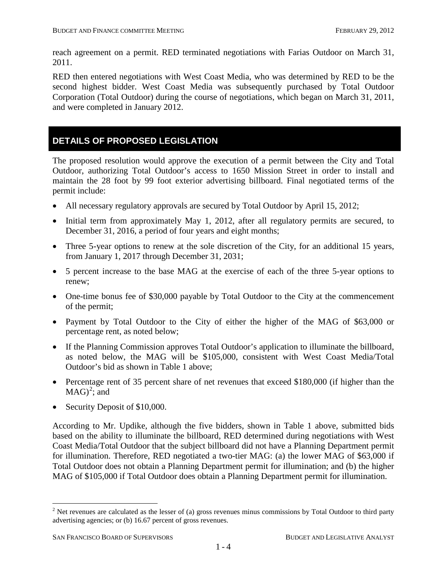reach agreement on a permit. RED terminated negotiations with Farias Outdoor on March 31, 2011.

RED then entered negotiations with West Coast Media, who was determined by RED to be the second highest bidder. West Coast Media was subsequently purchased by Total Outdoor Corporation (Total Outdoor) during the course of negotiations, which began on March 31, 2011, and were completed in January 2012.

## **DETAILS OF PROPOSED LEGISLATION**

The proposed resolution would approve the execution of a permit between the City and Total Outdoor, authorizing Total Outdoor's access to 1650 Mission Street in order to install and maintain the 28 foot by 99 foot exterior advertising billboard. Final negotiated terms of the permit include:

- All necessary regulatory approvals are secured by Total Outdoor by April 15, 2012;
- Initial term from approximately May 1, 2012, after all regulatory permits are secured, to December 31, 2016, a period of four years and eight months;
- Three 5-year options to renew at the sole discretion of the City, for an additional 15 years, from January 1, 2017 through December 31, 2031;
- 5 percent increase to the base MAG at the exercise of each of the three 5-year options to renew;
- One-time bonus fee of \$30,000 payable by Total Outdoor to the City at the commencement of the permit;
- Payment by Total Outdoor to the City of either the higher of the MAG of \$63,000 or percentage rent, as noted below;
- If the Planning Commission approves Total Outdoor's application to illuminate the billboard, as noted below, the MAG will be \$105,000, consistent with West Coast Media/Total Outdoor's bid as shown in Table 1 above;
- Percentage rent of 35 percent share of net revenues that exceed \$180,000 (if higher than the  $MAG)^2$  $MAG)^2$ ; and
- Security Deposit of \$10,000.

According to Mr. Updike, although the five bidders, shown in Table 1 above, submitted bids based on the ability to illuminate the billboard, RED determined during negotiations with West Coast Media/Total Outdoor that the subject billboard did not have a Planning Department permit for illumination. Therefore, RED negotiated a two-tier MAG: (a) the lower MAG of \$63,000 if Total Outdoor does not obtain a Planning Department permit for illumination; and (b) the higher MAG of \$105,000 if Total Outdoor does obtain a Planning Department permit for illumination.

<span id="page-4-0"></span> $2$  Net revenues are calculated as the lesser of (a) gross revenues minus commissions by Total Outdoor to third party advertising agencies; or (b) 16.67 percent of gross revenues.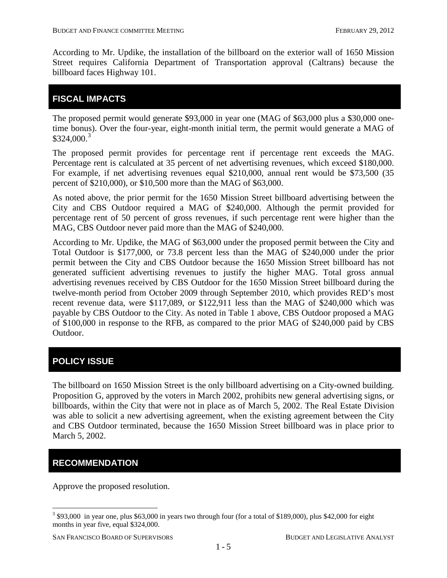According to Mr. Updike, the installation of the billboard on the exterior wall of 1650 Mission Street requires California Department of Transportation approval (Caltrans) because the billboard faces Highway 101.

## **FISCAL IMPACTS**

The proposed permit would generate \$93,000 in year one (MAG of \$63,000 plus a \$30,000 onetime bonus). Over the four-year, eight-month initial term, the permit would generate a MAG of  $$324,000.<sup>3</sup>$  $$324,000.<sup>3</sup>$  $$324,000.<sup>3</sup>$ 

The proposed permit provides for percentage rent if percentage rent exceeds the MAG. Percentage rent is calculated at 35 percent of net advertising revenues, which exceed \$180,000. For example, if net advertising revenues equal \$210,000, annual rent would be \$73,500 (35 percent of \$210,000), or \$10,500 more than the MAG of \$63,000.

As noted above, the prior permit for the 1650 Mission Street billboard advertising between the City and CBS Outdoor required a MAG of \$240,000. Although the permit provided for percentage rent of 50 percent of gross revenues, if such percentage rent were higher than the MAG, CBS Outdoor never paid more than the MAG of \$240,000.

According to Mr. Updike, the MAG of \$63,000 under the proposed permit between the City and Total Outdoor is \$177,000, or 73.8 percent less than the MAG of \$240,000 under the prior permit between the City and CBS Outdoor because the 1650 Mission Street billboard has not generated sufficient advertising revenues to justify the higher MAG. Total gross annual advertising revenues received by CBS Outdoor for the 1650 Mission Street billboard during the twelve-month period from October 2009 through September 2010, which provides RED's most recent revenue data, were \$117,089, or \$122,911 less than the MAG of \$240,000 which was payable by CBS Outdoor to the City. As noted in Table 1 above, CBS Outdoor proposed a MAG of \$100,000 in response to the RFB, as compared to the prior MAG of \$240,000 paid by CBS Outdoor.

# **POLICY ISSUE**

The billboard on 1650 Mission Street is the only billboard advertising on a City-owned building. Proposition G, approved by the voters in March 2002, prohibits new general advertising signs, or billboards, within the City that were not in place as of March 5, 2002. The Real Estate Division was able to solicit a new advertising agreement, when the existing agreement between the City and CBS Outdoor terminated, because the 1650 Mission Street billboard was in place prior to March 5, 2002.

# **RECOMMENDATION**

Approve the proposed resolution.

<sup>&</sup>lt;sup>3</sup> \$93,000 in year one, plus \$63,000 in years two through four (for a total of \$189,000), plus \$42,000 for eight months in year five, equal \$324,000.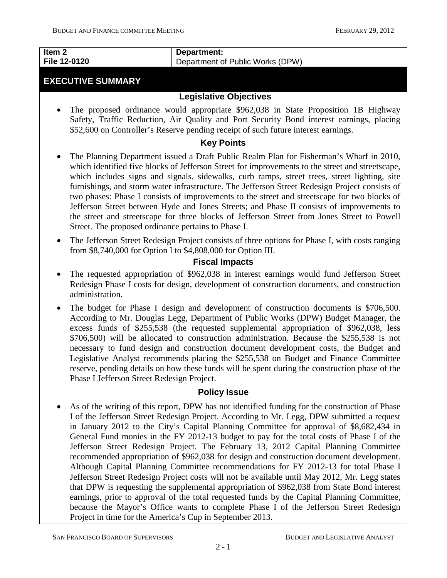#### **Item 2 File 12-0120**

# **EXECUTIVE SUMMARY**

## **Legislative Objectives**

Department of Public Works (DPW)

**Department:** 

• The proposed ordinance would appropriate \$962,038 in State Proposition 1B Highway Safety, Traffic Reduction, Air Quality and Port Security Bond interest earnings, placing \$52,600 on Controller's Reserve pending receipt of such future interest earnings.

#### **Key Points**

- The Planning Department issued a Draft Public Realm Plan for Fisherman's Wharf in 2010, which identified five blocks of Jefferson Street for improvements to the street and streetscape, which includes signs and signals, sidewalks, curb ramps, street trees, street lighting, site furnishings, and storm water infrastructure. The Jefferson Street Redesign Project consists of two phases: Phase I consists of improvements to the street and streetscape for two blocks of Jefferson Street between Hyde and Jones Streets; and Phase II consists of improvements to the street and streetscape for three blocks of Jefferson Street from Jones Street to Powell Street. The proposed ordinance pertains to Phase I.
- The Jefferson Street Redesign Project consists of three options for Phase I, with costs ranging from \$8,740,000 for Option I to \$4,808,000 for Option III.

## **Fiscal Impacts**

- The requested appropriation of \$962,038 in interest earnings would fund Jefferson Street Redesign Phase I costs for design, development of construction documents, and construction administration.
- The budget for Phase I design and development of construction documents is \$706,500. According to Mr. Douglas Legg, Department of Public Works (DPW) Budget Manager, the excess funds of \$255,538 (the requested supplemental appropriation of \$962,038, less \$706,500) will be allocated to construction administration. Because the \$255,538 is not necessary to fund design and construction document development costs, the Budget and Legislative Analyst recommends placing the \$255,538 on Budget and Finance Committee reserve, pending details on how these funds will be spent during the construction phase of the Phase I Jefferson Street Redesign Project.

#### **Policy Issue**

<span id="page-6-0"></span>• As of the writing of this report, DPW has not identified funding for the construction of Phase I of the Jefferson Street Redesign Project. According to Mr. Legg, DPW submitted a request in January 2012 to the City's Capital Planning Committee for approval of \$8,682,434 in General Fund monies in the FY 2012-13 budget to pay for the total costs of Phase I of the Jefferson Street Redesign Project. The February 13, 2012 Capital Planning Committee recommended appropriation of \$962,038 for design and construction document development. Although Capital Planning Committee recommendations for FY 2012-13 for total Phase I Jefferson Street Redesign Project costs will not be available until May 2012, Mr. Legg states that DPW is requesting the supplemental appropriation of \$962,038 from State Bond interest earnings, prior to approval of the total requested funds by the Capital Planning Committee, because the Mayor's Office wants to complete Phase I of the Jefferson Street Redesign Project in time for the America's Cup in September 2013.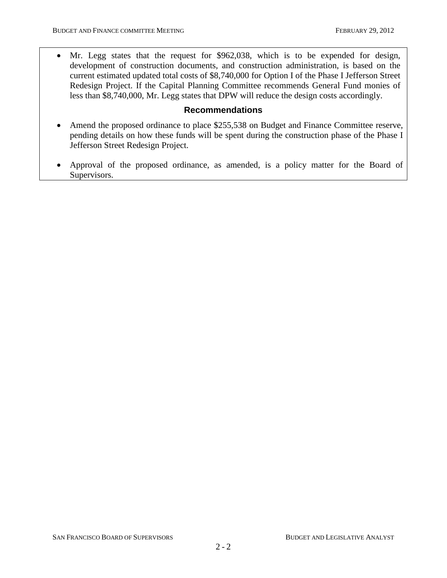• Mr. Legg states that the request for \$962,038, which is to be expended for design, development of construction documents, and construction administration, is based on the current estimated updated total costs of \$8,740,000 for Option I of the Phase I Jefferson Street Redesign Project. If the Capital Planning Committee recommends General Fund monies of less than \$8,740,000, Mr. Legg states that DPW will reduce the design costs accordingly.

#### **Recommendations**

- Amend the proposed ordinance to place \$255,538 on Budget and Finance Committee reserve, pending details on how these funds will be spent during the construction phase of the Phase I Jefferson Street Redesign Project.
- Approval of the proposed ordinance, as amended, is a policy matter for the Board of Supervisors.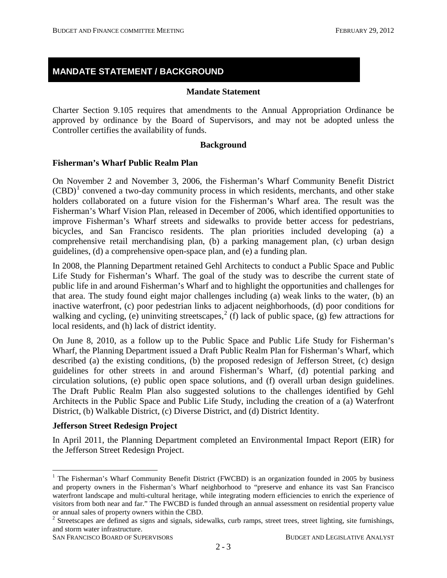## **MANDATE STATEMENT / BACKGROUND**

#### **Mandate Statement**

Charter Section 9.105 requires that amendments to the Annual Appropriation Ordinance be approved by ordinance by the Board of Supervisors, and may not be adopted unless the Controller certifies the availability of funds.

#### **Background**

#### **Fisherman's Wharf Public Realm Plan**

On November 2 and November 3, 2006, the Fisherman's Wharf Community Benefit District  $(CBD)^1$  $(CBD)^1$  convened a two-day community process in which residents, merchants, and other stake holders collaborated on a future vision for the Fisherman's Wharf area. The result was the Fisherman's Wharf Vision Plan, released in December of 2006, which identified opportunities to improve Fisherman's Wharf streets and sidewalks to provide better access for pedestrians, bicycles, and San Francisco residents. The plan priorities included developing (a) a comprehensive retail merchandising plan, (b) a parking management plan, (c) urban design guidelines, (d) a comprehensive open-space plan, and (e) a funding plan.

In 2008, the Planning Department retained Gehl Architects to conduct a Public Space and Public Life Study for Fisherman's Wharf. The goal of the study was to describe the current state of public life in and around Fisherman's Wharf and to highlight the opportunities and challenges for that area. The study found eight major challenges including (a) weak links to the water, (b) an inactive waterfront, (c) poor pedestrian links to adjacent neighborhoods, (d) poor conditions for walking and cycling, (e) uninviting streetscapes,<sup>[2](#page-8-0)</sup> (f) lack of public space, (g) few attractions for local residents, and (h) lack of district identity.

On June 8, 2010, as a follow up to the Public Space and Public Life Study for Fisherman's Wharf, the Planning Department issued a Draft Public Realm Plan for Fisherman's Wharf, which described (a) the existing conditions, (b) the proposed redesign of Jefferson Street, (c) design guidelines for other streets in and around Fisherman's Wharf, (d) potential parking and circulation solutions, (e) public open space solutions, and (f) overall urban design guidelines. The Draft Public Realm Plan also suggested solutions to the challenges identified by Gehl Architects in the Public Space and Public Life Study, including the creation of a (a) Waterfront District, (b) Walkable District, (c) Diverse District, and (d) District Identity.

#### **Jefferson Street Redesign Project**

In April 2011, the Planning Department completed an Environmental Impact Report (EIR) for the Jefferson Street Redesign Project.

<sup>&</sup>lt;sup>1</sup> The Fisherman's Wharf Community Benefit District (FWCBD) is an organization founded in 2005 by business and property owners in the Fisherman's Wharf neighborhood to "preserve and enhance its vast San Francisco waterfront landscape and multi-cultural heritage, while integrating modern efficiencies to enrich the experience of visitors from both near and far." The FWCBD is funded through an annual assessment on residential property value or annual sales of property owners within the CBD. 2 Streetscapes are defined as signs and signals, sidewalks, curb ramps, street trees, street lighting, site furnishings,

<span id="page-8-1"></span><span id="page-8-0"></span>and storm water infrastructure.

SAN FRANCISCO BOARD OF SUPERVISORS BUDGET AND LEGISLATIVE ANALYST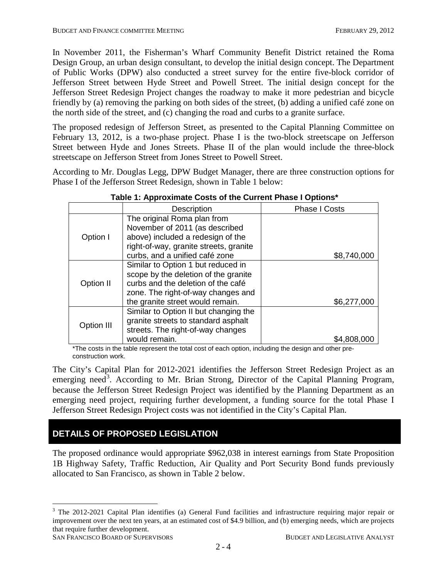In November 2011, the Fisherman's Wharf Community Benefit District retained the Roma Design Group, an urban design consultant, to develop the initial design concept. The Department of Public Works (DPW) also conducted a street survey for the entire five-block corridor of Jefferson Street between Hyde Street and Powell Street. The initial design concept for the Jefferson Street Redesign Project changes the roadway to make it more pedestrian and bicycle friendly by (a) removing the parking on both sides of the street, (b) adding a unified café zone on the north side of the street, and (c) changing the road and curbs to a granite surface.

The proposed redesign of Jefferson Street, as presented to the Capital Planning Committee on February 13, 2012, is a two-phase project. Phase I is the two-block streetscape on Jefferson Street between Hyde and Jones Streets. Phase II of the plan would include the three-block streetscape on Jefferson Street from Jones Street to Powell Street.

According to Mr. Douglas Legg, DPW Budget Manager, there are three construction options for Phase I of the Jefferson Street Redesign, shown in Table 1 below:

|            | Description                            | <b>Phase I Costs</b> |
|------------|----------------------------------------|----------------------|
|            | The original Roma plan from            |                      |
|            | November of 2011 (as described         |                      |
| Option I   | above) included a redesign of the      |                      |
|            | right-of-way, granite streets, granite |                      |
|            | curbs, and a unified café zone         | \$8,740,000          |
|            | Similar to Option 1 but reduced in     |                      |
|            | scope by the deletion of the granite   |                      |
| Option II  | curbs and the deletion of the café     |                      |
|            | zone. The right-of-way changes and     |                      |
|            | the granite street would remain.       | \$6,277,000          |
|            | Similar to Option II but changing the  |                      |
| Option III | granite streets to standard asphalt    |                      |
|            | streets. The right-of-way changes      |                      |
|            | would remain.                          | \$4,808,000          |

#### **Table 1: Approximate Costs of the Current Phase I Options\***

\*The costs in the table represent the total cost of each option, including the design and other preconstruction work.

The City's Capital Plan for 2012-2021 identifies the Jefferson Street Redesign Project as an emerging need<sup>[3](#page-8-1)</sup>. According to Mr. Brian Strong, Director of the Capital Planning Program, because the Jefferson Street Redesign Project was identified by the Planning Department as an emerging need project, requiring further development, a funding source for the total Phase I Jefferson Street Redesign Project costs was not identified in the City's Capital Plan.

# **DETAILS OF PROPOSED LEGISLATION**

The proposed ordinance would appropriate \$962,038 in interest earnings from State Proposition 1B Highway Safety, Traffic Reduction, Air Quality and Port Security Bond funds previously allocated to San Francisco, as shown in Table 2 below.

<span id="page-9-0"></span><sup>&</sup>lt;sup>3</sup> The 2012-2021 Capital Plan identifies (a) General Fund facilities and infrastructure requiring major repair or improvement over the next ten years, at an estimated cost of \$4.9 billion, and (b) emerging needs, which are projects that require further development.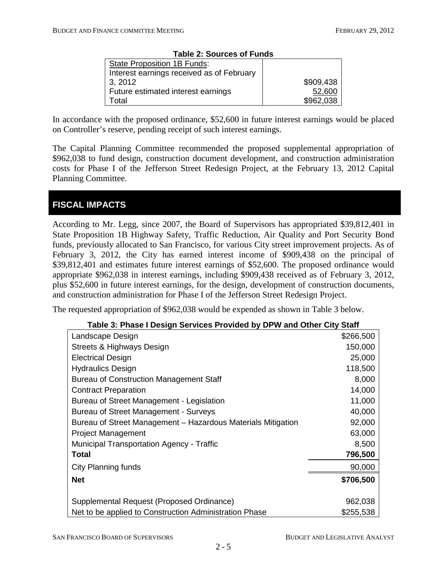| <b>Table 2: Sources of Funds</b>          |           |  |  |
|-------------------------------------------|-----------|--|--|
| State Proposition 1B Funds:               |           |  |  |
| Interest earnings received as of February |           |  |  |
| 3, 2012                                   | \$909,438 |  |  |
| Future estimated interest earnings        | 52,600    |  |  |
| Гоtal                                     | \$962,038 |  |  |

In accordance with the proposed ordinance, \$52,600 in future interest earnings would be placed on Controller's reserve, pending receipt of such interest earnings.

The Capital Planning Committee recommended the proposed supplemental appropriation of \$962,038 to fund design, construction document development, and construction administration costs for Phase I of the Jefferson Street Redesign Project, at the February 13, 2012 Capital Planning Committee.

# **FISCAL IMPACTS**

According to Mr. Legg, since 2007, the Board of Supervisors has appropriated \$39,812,401 in State Proposition 1B Highway Safety, Traffic Reduction, Air Quality and Port Security Bond funds, previously allocated to San Francisco, for various City street improvement projects. As of February 3, 2012, the City has earned interest income of \$909,438 on the principal of \$39,812,401 and estimates future interest earnings of \$52,600. The proposed ordinance would appropriate \$962,038 in interest earnings, including \$909,438 received as of February 3, 2012, plus \$52,600 in future interest earnings, for the design, development of construction documents, and construction administration for Phase I of the Jefferson Street Redesign Project.

The requested appropriation of \$962,038 would be expended as shown in Table 3 below.

| Table 3: Phase I Design Services Provided by DPW and Other City Staff |           |
|-----------------------------------------------------------------------|-----------|
| Landscape Design                                                      | \$266,500 |
| Straate & Highwave Daeign                                             | 150.000.  |

| Landscape Design                                             | ນ∠00.ວ∪∪  |
|--------------------------------------------------------------|-----------|
| Streets & Highways Design                                    | 150,000   |
| <b>Electrical Design</b>                                     | 25,000    |
| <b>Hydraulics Design</b>                                     | 118,500   |
| <b>Bureau of Construction Management Staff</b>               | 8,000     |
| <b>Contract Preparation</b>                                  | 14,000    |
| Bureau of Street Management - Legislation                    | 11,000    |
| Bureau of Street Management - Surveys                        | 40,000    |
| Bureau of Street Management - Hazardous Materials Mitigation | 92,000    |
| <b>Project Management</b>                                    | 63,000    |
| <b>Municipal Transportation Agency - Traffic</b>             | 8,500     |
| <b>Total</b>                                                 | 796,500   |
| <b>City Planning funds</b>                                   | 90,000    |
| <b>Net</b>                                                   | \$706,500 |
|                                                              |           |
| Supplemental Request (Proposed Ordinance)                    | 962,038   |
| Net to be applied to Construction Administration Phase       | \$255,538 |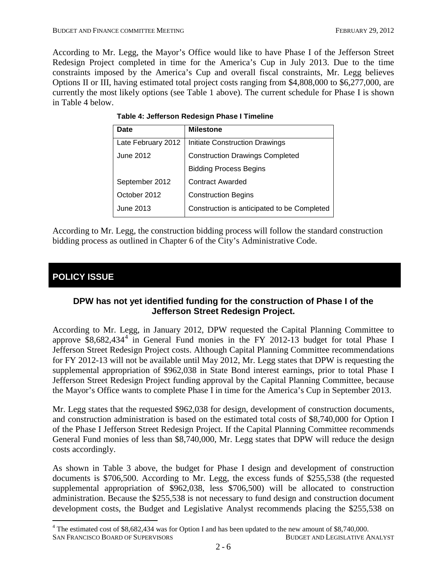According to Mr. Legg, the Mayor's Office would like to have Phase I of the Jefferson Street Redesign Project completed in time for the America's Cup in July 2013. Due to the time constraints imposed by the America's Cup and overall fiscal constraints, Mr. Legg believes Options II or III, having estimated total project costs ranging from \$4,808,000 to \$6,277,000, are currently the most likely options (see Table 1 above). The current schedule for Phase I is shown in Table 4 below.

| <b>Date</b>        | <b>Milestone</b>                            |
|--------------------|---------------------------------------------|
| Late February 2012 | Initiate Construction Drawings              |
| June 2012          | <b>Construction Drawings Completed</b>      |
|                    | <b>Bidding Process Begins</b>               |
| September 2012     | <b>Contract Awarded</b>                     |
| October 2012       | <b>Construction Begins</b>                  |
| June 2013          | Construction is anticipated to be Completed |

According to Mr. Legg, the construction bidding process will follow the standard construction bidding process as outlined in Chapter 6 of the City's Administrative Code.

# **POLICY ISSUE**

#### **DPW has not yet identified funding for the construction of Phase I of the Jefferson Street Redesign Project.**

According to Mr. Legg, in January 2012, DPW requested the Capital Planning Committee to approve  $\overline{\$8,682,434^4\ \text{in}}$  $\overline{\$8,682,434^4\ \text{in}}$  $\overline{\$8,682,434^4\ \text{in}}$  General Fund monies in the FY 2012-13 budget for total Phase I Jefferson Street Redesign Project costs. Although Capital Planning Committee recommendations for FY 2012-13 will not be available until May 2012, Mr. Legg states that DPW is requesting the supplemental appropriation of \$962,038 in State Bond interest earnings, prior to total Phase I Jefferson Street Redesign Project funding approval by the Capital Planning Committee, because the Mayor's Office wants to complete Phase I in time for the America's Cup in September 2013.

Mr. Legg states that the requested \$962,038 for design, development of construction documents, and construction administration is based on the estimated total costs of \$8,740,000 for Option I of the Phase I Jefferson Street Redesign Project. If the Capital Planning Committee recommends General Fund monies of less than \$8,740,000, Mr. Legg states that DPW will reduce the design costs accordingly.

As shown in Table 3 above, the budget for Phase I design and development of construction documents is \$706,500. According to Mr. Legg, the excess funds of \$255,538 (the requested supplemental appropriation of \$962,038, less \$706,500) will be allocated to construction administration. Because the \$255,538 is not necessary to fund design and construction document development costs, the Budget and Legislative Analyst recommends placing the \$255,538 on

SAN FRANCISCO BOARD OF SUPERVISORS BUDGET AND LEGISLATIVE ANALYST 4 The estimated cost of \$8,682,434 was for Option I and has been updated to the new amount of \$8,740,000.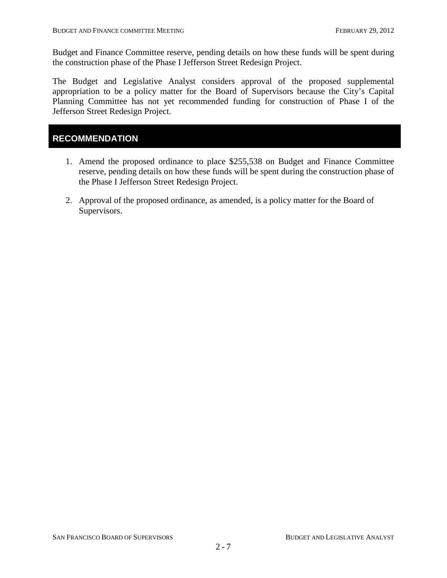Budget and Finance Committee reserve, pending details on how these funds will be spent during the construction phase of the Phase I Jefferson Street Redesign Project.

The Budget and Legislative Analyst considers approval of the proposed supplemental appropriation to be a policy matter for the Board of Supervisors because the City's Capital Planning Committee has not yet recommended funding for construction of Phase I of the Jefferson Street Redesign Project.

## **RECOMMENDATION**

- 1. Amend the proposed ordinance to place \$255,538 on Budget and Finance Committee reserve, pending details on how these funds will be spent during the construction phase of the Phase I Jefferson Street Redesign Project.
- 2. Approval of the proposed ordinance, as amended, is a policy matter for the Board of Supervisors.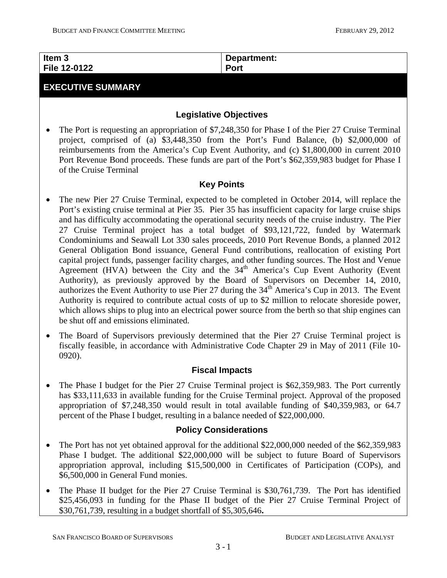| Item <sub>3</sub> | Department: |
|-------------------|-------------|
| File 12-0122      | <b>Port</b> |
|                   |             |

## **EXECUTIVE SUMMARY**

## **Legislative Objectives**

• The Port is requesting an appropriation of \$7,248,350 for Phase I of the Pier 27 Cruise Terminal project, comprised of (a) \$3,448,350 from the Port's Fund Balance, (b) \$2,000,000 of reimbursements from the America's Cup Event Authority, and (c) \$1,800,000 in current 2010 Port Revenue Bond proceeds. These funds are part of the Port's \$62,359,983 budget for Phase I of the Cruise Terminal

#### **Key Points**

- The new Pier 27 Cruise Terminal, expected to be completed in October 2014, will replace the Port's existing cruise terminal at Pier 35. Pier 35 has insufficient capacity for large cruise ships and has difficulty accommodating the operational security needs of the cruise industry. The Pier 27 Cruise Terminal project has a total budget of \$93,121,722, funded by Watermark Condominiums and Seawall Lot 330 sales proceeds, 2010 Port Revenue Bonds, a planned 2012 General Obligation Bond issuance, General Fund contributions, reallocation of existing Port capital project funds, passenger facility charges, and other funding sources. The Host and Venue Agreement (HVA) between the City and the  $34<sup>th</sup>$  America's Cup Event Authority (Event Authority), as previously approved by the Board of Supervisors on December 14, 2010, authorizes the Event Authority to use Pier 27 during the 34<sup>th</sup> America's Cup in 2013. The Event Authority is required to contribute actual costs of up to \$2 million to relocate shoreside power, which allows ships to plug into an electrical power source from the berth so that ship engines can be shut off and emissions eliminated.
- The Board of Supervisors previously determined that the Pier 27 Cruise Terminal project is fiscally feasible, in accordance with Administrative Code Chapter 29 in May of 2011 (File 10- 0920).

## **Fiscal Impacts**

• The Phase I budget for the Pier 27 Cruise Terminal project is \$62,359,983. The Port currently has \$33,111,633 in available funding for the Cruise Terminal project. Approval of the proposed appropriation of \$7,248,350 would result in total available funding of \$40,359,983, or 64.7 percent of the Phase I budget, resulting in a balance needed of \$22,000,000.

#### **Policy Considerations**

- <span id="page-13-0"></span>• The Port has not yet obtained approval for the additional \$22,000,000 needed of the \$62,359,983 Phase I budget. The additional \$22,000,000 will be subject to future Board of Supervisors appropriation approval, including \$15,500,000 in Certificates of Participation (COPs), and \$6,500,000 in General Fund monies.
- The Phase II budget for the Pier 27 Cruise Terminal is \$30,761,739. The Port has identified \$25,456,093 in funding for the Phase II budget of the Pier 27 Cruise Terminal Project of \$30,761,739, resulting in a budget shortfall of \$5,305,646**.**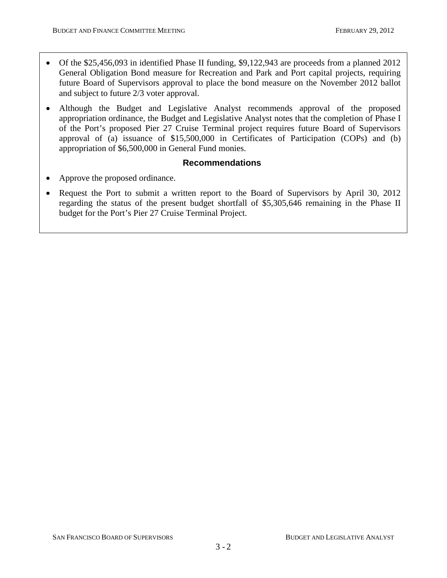- Of the \$25,456,093 in identified Phase II funding, \$9,122,943 are proceeds from a planned 2012 General Obligation Bond measure for Recreation and Park and Port capital projects, requiring future Board of Supervisors approval to place the bond measure on the November 2012 ballot and subject to future 2/3 voter approval.
- Although the Budget and Legislative Analyst recommends approval of the proposed appropriation ordinance, the Budget and Legislative Analyst notes that the completion of Phase I of the Port's proposed Pier 27 Cruise Terminal project requires future Board of Supervisors approval of (a) issuance of \$15,500,000 in Certificates of Participation (COPs) and (b) appropriation of \$6,500,000 in General Fund monies.

#### **Recommendations**

- Approve the proposed ordinance.
- Request the Port to submit a written report to the Board of Supervisors by April 30, 2012 regarding the status of the present budget shortfall of \$5,305,646 remaining in the Phase II budget for the Port's Pier 27 Cruise Terminal Project.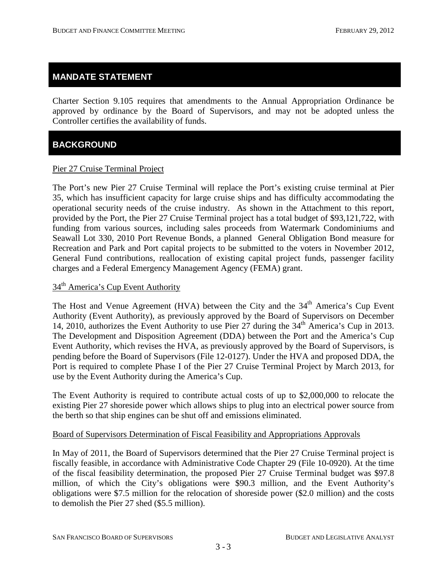#### **MANDATE STATEMENT**

Charter Section 9.105 requires that amendments to the Annual Appropriation Ordinance be approved by ordinance by the Board of Supervisors, and may not be adopted unless the Controller certifies the availability of funds.

## **BACKGROUND**

#### Pier 27 Cruise Terminal Project

The Port's new Pier 27 Cruise Terminal will replace the Port's existing cruise terminal at Pier 35, which has insufficient capacity for large cruise ships and has difficulty accommodating the operational security needs of the cruise industry. As shown in the Attachment to this report, provided by the Port, the Pier 27 Cruise Terminal project has a total budget of \$93,121,722, with funding from various sources, including sales proceeds from Watermark Condominiums and Seawall Lot 330, 2010 Port Revenue Bonds, a planned General Obligation Bond measure for Recreation and Park and Port capital projects to be submitted to the voters in November 2012, General Fund contributions, reallocation of existing capital project funds, passenger facility charges and a Federal Emergency Management Agency (FEMA) grant.

## 34<sup>th</sup> America's Cup Event Authority

The Host and Venue Agreement (HVA) between the City and the  $34<sup>th</sup>$  America's Cup Event Authority (Event Authority), as previously approved by the Board of Supervisors on December 14, 2010, authorizes the Event Authority to use Pier 27 during the  $34<sup>th</sup>$  America's Cup in 2013. The Development and Disposition Agreement (DDA) between the Port and the America's Cup Event Authority, which revises the HVA, as previously approved by the Board of Supervisors, is pending before the Board of Supervisors (File 12-0127). Under the HVA and proposed DDA, the Port is required to complete Phase I of the Pier 27 Cruise Terminal Project by March 2013, for use by the Event Authority during the America's Cup.

The Event Authority is required to contribute actual costs of up to \$2,000,000 to relocate the existing Pier 27 shoreside power which allows ships to plug into an electrical power source from the berth so that ship engines can be shut off and emissions eliminated.

#### Board of Supervisors Determination of Fiscal Feasibility and Appropriations Approvals

In May of 2011, the Board of Supervisors determined that the Pier 27 Cruise Terminal project is fiscally feasible, in accordance with Administrative Code Chapter 29 (File 10-0920). At the time of the fiscal feasibility determination, the proposed Pier 27 Cruise Terminal budget was \$97.8 million, of which the City's obligations were \$90.3 million, and the Event Authority's obligations were \$7.5 million for the relocation of shoreside power (\$2.0 million) and the costs to demolish the Pier 27 shed (\$5.5 million).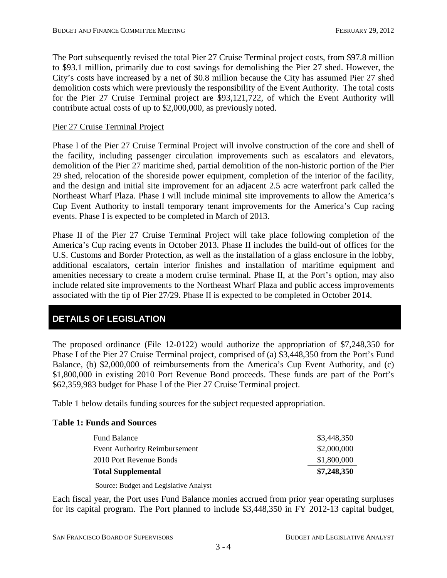The Port subsequently revised the total Pier 27 Cruise Terminal project costs, from \$97.8 million to \$93.1 million, primarily due to cost savings for demolishing the Pier 27 shed. However, the City's costs have increased by a net of \$0.8 million because the City has assumed Pier 27 shed demolition costs which were previously the responsibility of the Event Authority. The total costs for the Pier 27 Cruise Terminal project are \$93,121,722, of which the Event Authority will contribute actual costs of up to \$2,000,000, as previously noted.

#### Pier 27 Cruise Terminal Project

Phase I of the Pier 27 Cruise Terminal Project will involve construction of the core and shell of the facility, including passenger circulation improvements such as escalators and elevators, demolition of the Pier 27 maritime shed, partial demolition of the non-historic portion of the Pier 29 shed, relocation of the shoreside power equipment, completion of the interior of the facility, and the design and initial site improvement for an adjacent 2.5 acre waterfront park called the Northeast Wharf Plaza. Phase I will include minimal site improvements to allow the America's Cup Event Authority to install temporary tenant improvements for the America's Cup racing events. Phase I is expected to be completed in March of 2013.

Phase II of the Pier 27 Cruise Terminal Project will take place following completion of the America's Cup racing events in October 2013. Phase II includes the build-out of offices for the U.S. Customs and Border Protection, as well as the installation of a glass enclosure in the lobby, additional escalators, certain interior finishes and installation of maritime equipment and amenities necessary to create a modern cruise terminal. Phase II, at the Port's option, may also include related site improvements to the Northeast Wharf Plaza and public access improvements associated with the tip of Pier 27/29. Phase II is expected to be completed in October 2014.

## **DETAILS OF LEGISLATION**

The proposed ordinance (File 12-0122) would authorize the appropriation of \$7,248,350 for Phase I of the Pier 27 Cruise Terminal project, comprised of (a) \$3,448,350 from the Port's Fund Balance, (b) \$2,000,000 of reimbursements from the America's Cup Event Authority, and (c) \$1,800,000 in existing 2010 Port Revenue Bond proceeds. These funds are part of the Port's \$62,359,983 budget for Phase I of the Pier 27 Cruise Terminal project.

Table 1 below details funding sources for the subject requested appropriation.

#### **Table 1: Funds and Sources**

| <b>Fund Balance</b>                  | \$3,448,350 |
|--------------------------------------|-------------|
| <b>Event Authority Reimbursement</b> | \$2,000,000 |
| 2010 Port Revenue Bonds              | \$1,800,000 |
| <b>Total Supplemental</b>            | \$7,248,350 |

Source: Budget and Legislative Analyst

Each fiscal year, the Port uses Fund Balance monies accrued from prior year operating surpluses for its capital program. The Port planned to include \$3,448,350 in FY 2012-13 capital budget,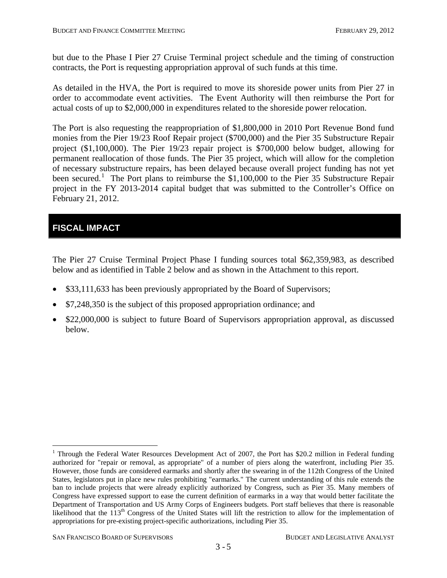but due to the Phase I Pier 27 Cruise Terminal project schedule and the timing of construction contracts, the Port is requesting appropriation approval of such funds at this time.

As detailed in the HVA, the Port is required to move its shoreside power units from Pier 27 in order to accommodate event activities. The Event Authority will then reimburse the Port for actual costs of up to \$2,000,000 in expenditures related to the shoreside power relocation.

The Port is also requesting the reappropriation of \$1,800,000 in 2010 Port Revenue Bond fund monies from the Pier 19/23 Roof Repair project (\$700,000) and the Pier 35 Substructure Repair project (\$1,100,000). The Pier 19/23 repair project is \$700,000 below budget, allowing for permanent reallocation of those funds. The Pier 35 project, which will allow for the completion of necessary substructure repairs, has been delayed because overall project funding has not yet been secured.<sup>[1](#page-13-0)</sup> The Port plans to reimburse the \$1,100,000 to the Pier 35 Substructure Repair project in the FY 2013-2014 capital budget that was submitted to the Controller's Office on February 21, 2012.

# **FISCAL IMPACT**

The Pier 27 Cruise Terminal Project Phase I funding sources total \$62,359,983, as described below and as identified in Table 2 below and as shown in the Attachment to this report.

- \$33,111,633 has been previously appropriated by the Board of Supervisors;
- \$7,248,350 is the subject of this proposed appropriation ordinance; and
- \$22,000,000 is subject to future Board of Supervisors appropriation approval, as discussed below.

<sup>&</sup>lt;sup>1</sup> Through the Federal Water Resources Development Act of 2007, the Port has \$20.2 million in Federal funding authorized for "repair or removal, as appropriate" of a number of piers along the waterfront, including Pier 35. However, those funds are considered earmarks and shortly after the swearing in of the 112th Congress of the United States, legislators put in place new rules prohibiting "earmarks." The current understanding of this rule extends the ban to include projects that were already explicitly authorized by Congress, such as Pier 35. Many members of Congress have expressed support to ease the current definition of earmarks in a way that would better facilitate the Department of Transportation and US Army Corps of Engineers budgets. Port staff believes that there is reasonable likelihood that the 113th Congress of the United States will lift the restriction to allow for the implementation of appropriations for pre-existing project-specific authorizations, including Pier 35.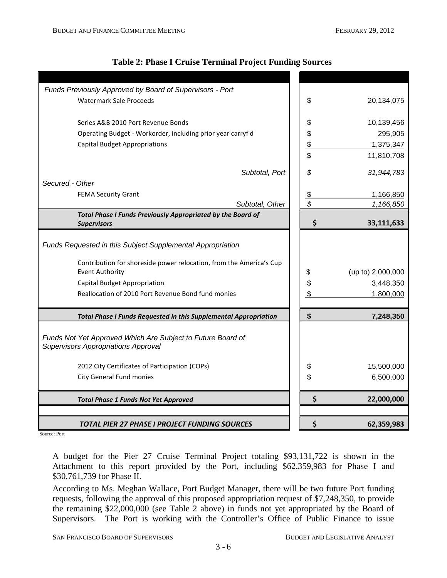| Funds Previously Approved by Board of Supervisors - Port                                      |               |                   |
|-----------------------------------------------------------------------------------------------|---------------|-------------------|
| <b>Watermark Sale Proceeds</b>                                                                | \$            | 20,134,075        |
|                                                                                               |               |                   |
| Series A&B 2010 Port Revenue Bonds                                                            | \$            | 10,139,456        |
| Operating Budget - Workorder, including prior year carryf'd                                   | \$            | 295,905           |
| <b>Capital Budget Appropriations</b>                                                          | $\frac{1}{2}$ | 1,375,347         |
|                                                                                               | \$            | 11,810,708        |
| Subtotal, Port                                                                                | \$            |                   |
| Secured - Other                                                                               |               | 31,944,783        |
| <b>FEMA Security Grant</b>                                                                    | $\frac{1}{2}$ | 1,166,850         |
| Subtotal, Other                                                                               | \$            | 1,166,850         |
| Total Phase I Funds Previously Appropriated by the Board of                                   |               |                   |
| <b>Supervisors</b>                                                                            | \$            | 33,111,633        |
|                                                                                               |               |                   |
| Funds Requested in this Subject Supplemental Appropriation                                    |               |                   |
|                                                                                               |               |                   |
| Contribution for shoreside power relocation, from the America's Cup<br><b>Event Authority</b> | \$            | (up to) 2,000,000 |
| <b>Capital Budget Appropriation</b>                                                           | \$            | 3,448,350         |
| Reallocation of 2010 Port Revenue Bond fund monies                                            | \$            | 1,800,000         |
|                                                                                               |               |                   |
| <b>Total Phase I Funds Requested in this Supplemental Appropriation</b>                       | \$            | 7,248,350         |
|                                                                                               |               |                   |
| Funds Not Yet Approved Which Are Subject to Future Board of                                   |               |                   |
| <b>Supervisors Appropriations Approval</b>                                                    |               |                   |
| 2012 City Certificates of Participation (COPs)                                                | \$            | 15,500,000        |
| City General Fund monies                                                                      | \$            | 6,500,000         |
|                                                                                               |               |                   |
| <b>Total Phase 1 Funds Not Yet Approved</b>                                                   | \$            | 22,000,000        |
|                                                                                               |               |                   |
| TOTAL PIER 27 PHASE I PROJECT FUNDING SOURCES                                                 | Ş             | 62,359,983        |

#### **Table 2: Phase I Cruise Terminal Project Funding Sources**

Source: Port

A budget for the Pier 27 Cruise Terminal Project totaling \$93,131,722 is shown in the Attachment to this report provided by the Port, including \$62,359,983 for Phase I and \$30,761,739 for Phase II.

According to Ms. Meghan Wallace, Port Budget Manager, there will be two future Port funding requests, following the approval of this proposed appropriation request of \$7,248,350, to provide the remaining \$22,000,000 (see Table 2 above) in funds not yet appropriated by the Board of Supervisors. The Port is working with the Controller's Office of Public Finance to issue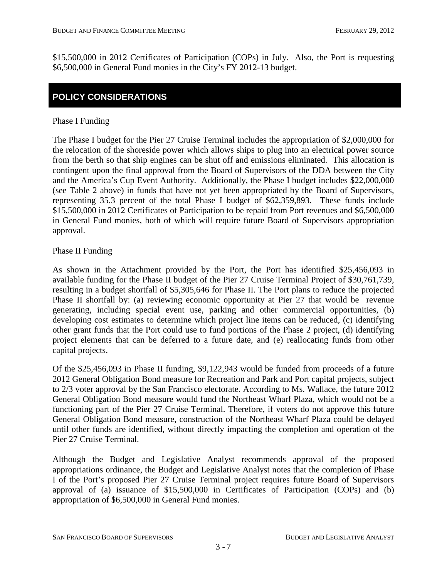\$15,500,000 in 2012 Certificates of Participation (COPs) in July. Also, the Port is requesting \$6,500,000 in General Fund monies in the City's FY 2012-13 budget.

## **POLICY CONSIDERATIONS**

#### Phase I Funding

The Phase I budget for the Pier 27 Cruise Terminal includes the appropriation of \$2,000,000 for the relocation of the shoreside power which allows ships to plug into an electrical power source from the berth so that ship engines can be shut off and emissions eliminated. This allocation is contingent upon the final approval from the Board of Supervisors of the DDA between the City and the America's Cup Event Authority. Additionally, the Phase I budget includes \$22,000,000 (see Table 2 above) in funds that have not yet been appropriated by the Board of Supervisors, representing 35.3 percent of the total Phase I budget of \$62,359,893. These funds include \$15,500,000 in 2012 Certificates of Participation to be repaid from Port revenues and \$6,500,000 in General Fund monies, both of which will require future Board of Supervisors appropriation approval.

#### Phase II Funding

As shown in the Attachment provided by the Port, the Port has identified \$25,456,093 in available funding for the Phase II budget of the Pier 27 Cruise Terminal Project of \$30,761,739, resulting in a budget shortfall of \$5,305,646 for Phase II. The Port plans to reduce the projected Phase II shortfall by: (a) reviewing economic opportunity at Pier 27 that would be revenue generating, including special event use, parking and other commercial opportunities, (b) developing cost estimates to determine which project line items can be reduced, (c) identifying other grant funds that the Port could use to fund portions of the Phase 2 project, (d) identifying project elements that can be deferred to a future date, and (e) reallocating funds from other capital projects.

Of the \$25,456,093 in Phase II funding, \$9,122,943 would be funded from proceeds of a future 2012 General Obligation Bond measure for Recreation and Park and Port capital projects, subject to 2/3 voter approval by the San Francisco electorate. According to Ms. Wallace, the future 2012 General Obligation Bond measure would fund the Northeast Wharf Plaza, which would not be a functioning part of the Pier 27 Cruise Terminal. Therefore, if voters do not approve this future General Obligation Bond measure, construction of the Northeast Wharf Plaza could be delayed until other funds are identified, without directly impacting the completion and operation of the Pier 27 Cruise Terminal.

Although the Budget and Legislative Analyst recommends approval of the proposed appropriations ordinance, the Budget and Legislative Analyst notes that the completion of Phase I of the Port's proposed Pier 27 Cruise Terminal project requires future Board of Supervisors approval of (a) issuance of \$15,500,000 in Certificates of Participation (COPs) and (b) appropriation of \$6,500,000 in General Fund monies.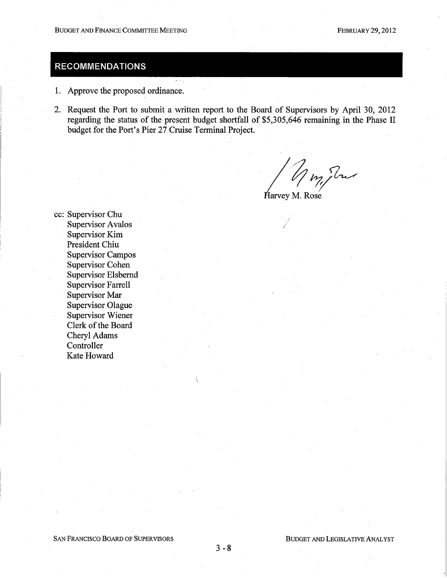# **RECOMMENDATIONS**

- 1. Approve the proposed ordinance.
- 2. Request the Port to submit a written report to the Board of Supervisors by April 30, 2012 regarding the status of the present budget shortfall of \$5,305,646 remaining in the Phase II budget for the Port's Pier 27 Cruise Terminal Project.

my Tres

Harvey M. Rose

cc: Supervisor Chu **Supervisor Avalos** Supervisor Kim President Chiu **Supervisor Campos Supervisor Cohen Supervisor Elsbernd Supervisor Farrell** Supervisor Mar Supervisor Olague **Supervisor Wiener** Clerk of the Board Cheryl Adams Controller Kate Howard